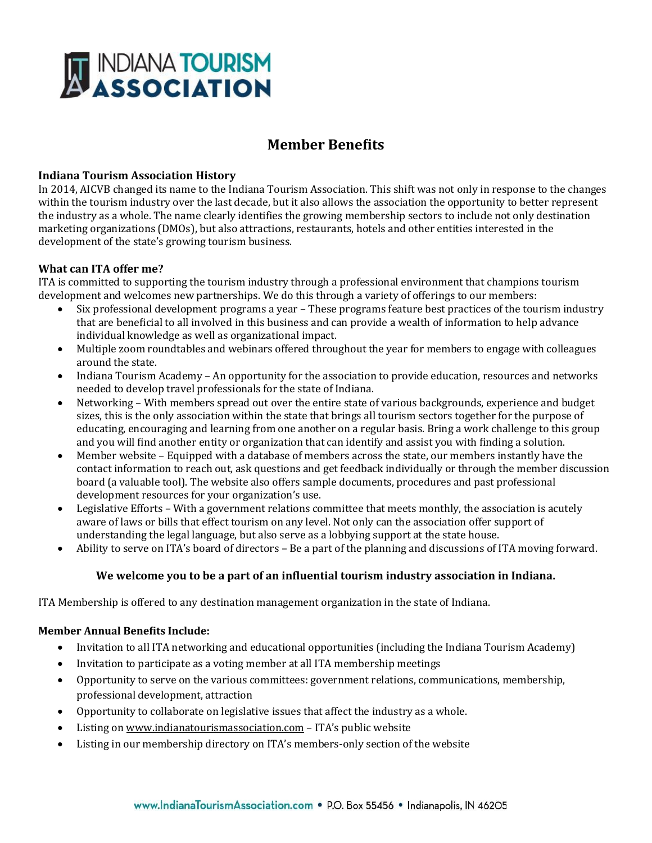

# **Member Benefits**

## **Indiana Tourism Association History**

In 2014, AICVB changed its name to the Indiana Tourism Association. This shift was not only in response to the changes within the tourism industry over the last decade, but it also allows the association the opportunity to better represent the industry as a whole. The name clearly identifies the growing membership sectors to include not only destination marketing organizations (DMOs), but also attractions, restaurants, hotels and other entities interested in the development of the state's growing tourism business.

## **What can ITA offer me?**

ITA is committed to supporting the tourism industry through a professional environment that champions tourism development and welcomes new partnerships. We do this through a variety of offerings to our members:

- Six professional development programs a year These programs feature best practices of the tourism industry that are beneficial to all involved in this business and can provide a wealth of information to help advance individual knowledge as well as organizational impact.
- Multiple zoom roundtables and webinars offered throughout the year for members to engage with colleagues around the state.
- Indiana Tourism Academy An opportunity for the association to provide education, resources and networks needed to develop travel professionals for the state of Indiana.
- Networking With members spread out over the entire state of various backgrounds, experience and budget sizes, this is the only association within the state that brings all tourism sectors together for the purpose of educating, encouraging and learning from one another on a regular basis. Bring a work challenge to this group and you will find another entity or organization that can identify and assist you with finding a solution.
- Member website Equipped with a database of members across the state, our members instantly have the contact information to reach out, ask questions and get feedback individually or through the member discussion board (a valuable tool). The website also offers sample documents, procedures and past professional development resources for your organization's use.
- Legislative Efforts With a government relations committee that meets monthly, the association is acutely aware of laws or bills that effect tourism on any level. Not only can the association offer support of understanding the legal language, but also serve as a lobbying support at the state house.
- Ability to serve on ITA's board of directors Be a part of the planning and discussions of ITA moving forward.

#### **We welcome you to be a part of an influential tourism industry association in Indiana.**

ITA Membership is offered to any destination management organization in the state of Indiana.

#### **Member Annual Benefits Include:**

- Invitation to all ITA networking and educational opportunities (including the Indiana Tourism Academy)
- Invitation to participate as a voting member at all ITA membership meetings
- Opportunity to serve on the various committees: government relations, communications, membership, professional development, attraction
- Opportunity to collaborate on legislative issues that affect the industry as a whole.
- Listing on www.indianatourismassociation.com ITA's public website
- Listing in our membership directory on ITA's members-only section of the website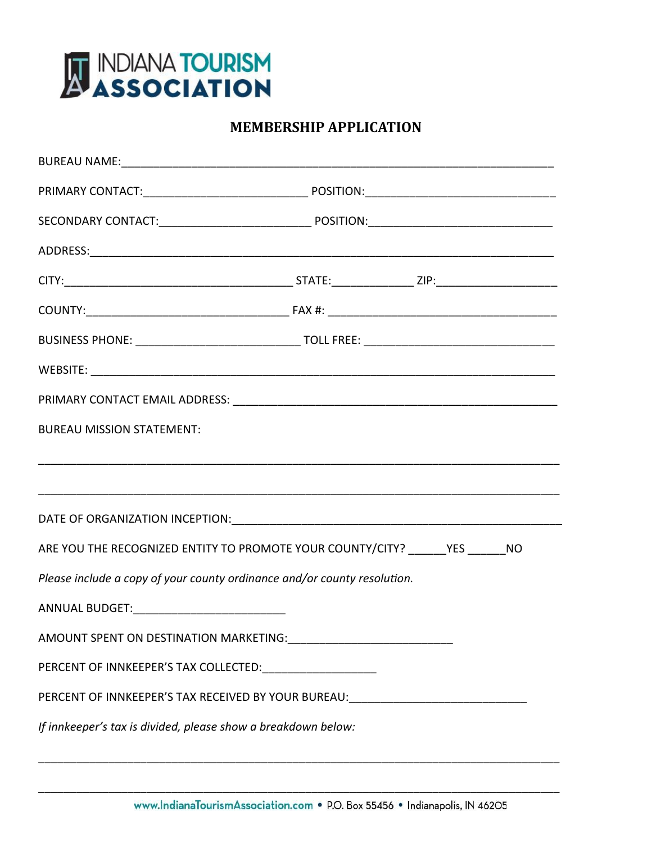

# **MEMBERSHIP APPLICATION**

| <b>BUREAU MISSION STATEMENT:</b>                                                  |  |  |
|-----------------------------------------------------------------------------------|--|--|
|                                                                                   |  |  |
|                                                                                   |  |  |
|                                                                                   |  |  |
| ARE YOU THE RECOGNIZED ENTITY TO PROMOTE YOUR COUNTY/CITY? _______ YES _______ NO |  |  |
| Please include a copy of your county ordinance and/or county resolution.          |  |  |
| ANNUAL BUDGET:______________________________                                      |  |  |
|                                                                                   |  |  |
| PERCENT OF INNKEEPER'S TAX COLLECTED: _______________________                     |  |  |
| PERCENT OF INNKEEPER'S TAX RECEIVED BY YOUR BUREAU: ____________________________  |  |  |
| If innkeeper's tax is divided, please show a breakdown below:                     |  |  |

\_\_\_\_\_\_\_\_\_\_\_\_\_\_\_\_\_\_\_\_\_\_\_\_\_\_\_\_\_\_\_\_\_\_\_\_\_\_\_\_\_\_\_\_\_\_\_\_\_\_\_\_\_\_\_\_\_\_\_\_\_\_\_\_\_\_\_\_\_\_\_\_\_\_\_\_\_\_\_\_\_\_

\_\_\_\_\_\_\_\_\_\_\_\_\_\_\_\_\_\_\_\_\_\_\_\_\_\_\_\_\_\_\_\_\_\_\_\_\_\_\_\_\_\_\_\_\_\_\_\_\_\_\_\_\_\_\_\_\_\_\_\_\_\_\_\_\_\_\_\_\_\_\_\_\_\_\_\_\_\_\_\_\_\_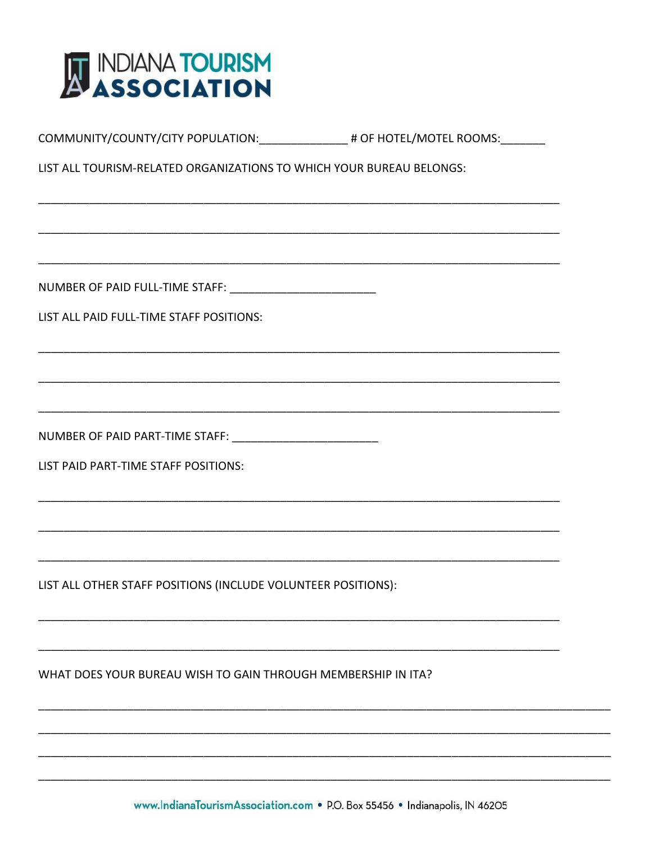

| LIST ALL TOURISM-RELATED ORGANIZATIONS TO WHICH YOUR BUREAU BELONGS: |  |  |
|----------------------------------------------------------------------|--|--|
|                                                                      |  |  |
|                                                                      |  |  |
|                                                                      |  |  |
|                                                                      |  |  |
| LIST ALL PAID FULL-TIME STAFF POSITIONS:                             |  |  |
|                                                                      |  |  |
|                                                                      |  |  |
|                                                                      |  |  |
| NUMBER OF PAID PART-TIME STAFF: ____________________________         |  |  |
| LIST PAID PART-TIME STAFF POSITIONS:                                 |  |  |
|                                                                      |  |  |
|                                                                      |  |  |
|                                                                      |  |  |
| LIST ALL OTHER STAFF POSITIONS (INCLUDE VOLUNTEER POSITIONS):        |  |  |
|                                                                      |  |  |
|                                                                      |  |  |
| WHAT DOES YOUR BUREAU WISH TO GAIN THROUGH MEMBERSHIP IN ITA?        |  |  |